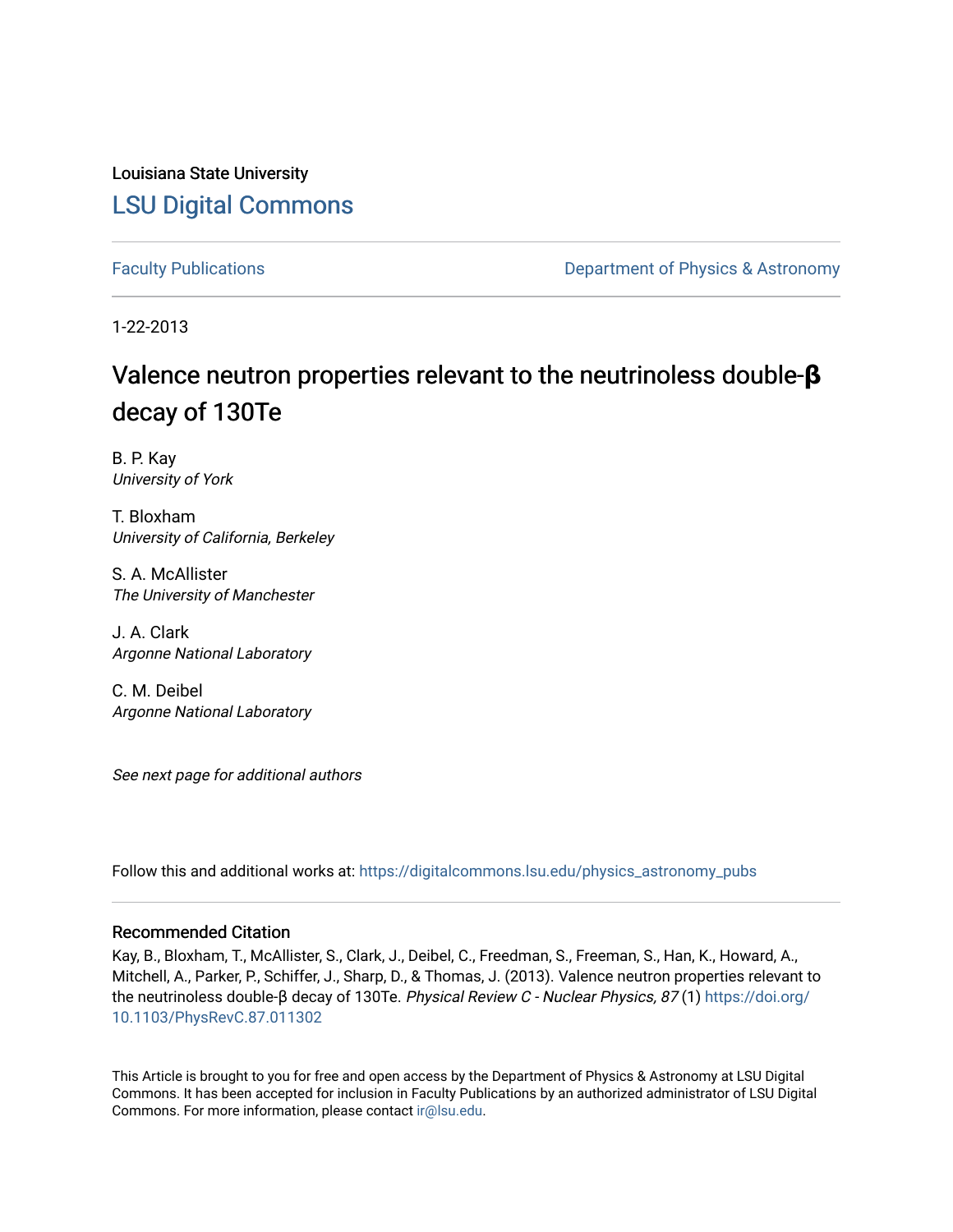Louisiana State University [LSU Digital Commons](https://digitalcommons.lsu.edu/)

[Faculty Publications](https://digitalcommons.lsu.edu/physics_astronomy_pubs) **Exercise 2 and Table 2 and Table 2 and Table 2 and Table 2 and Table 2 and Table 2 and Table 2 and Table 2 and Table 2 and Table 2 and Table 2 and Table 2 and Table 2 and Table 2 and Table 2 and Table** 

1-22-2013

## Valence neutron properties relevant to the neutrinoless double-**β** decay of 130Te

B. P. Kay University of York

T. Bloxham University of California, Berkeley

S. A. McAllister The University of Manchester

J. A. Clark Argonne National Laboratory

C. M. Deibel Argonne National Laboratory

See next page for additional authors

Follow this and additional works at: [https://digitalcommons.lsu.edu/physics\\_astronomy\\_pubs](https://digitalcommons.lsu.edu/physics_astronomy_pubs?utm_source=digitalcommons.lsu.edu%2Fphysics_astronomy_pubs%2F1269&utm_medium=PDF&utm_campaign=PDFCoverPages) 

### Recommended Citation

Kay, B., Bloxham, T., McAllister, S., Clark, J., Deibel, C., Freedman, S., Freeman, S., Han, K., Howard, A., Mitchell, A., Parker, P., Schiffer, J., Sharp, D., & Thomas, J. (2013). Valence neutron properties relevant to the neutrinoless double-β decay of 130Te. Physical Review C - Nuclear Physics, 87 (1) [https://doi.org/](https://doi.org/10.1103/PhysRevC.87.011302) [10.1103/PhysRevC.87.011302](https://doi.org/10.1103/PhysRevC.87.011302)

This Article is brought to you for free and open access by the Department of Physics & Astronomy at LSU Digital Commons. It has been accepted for inclusion in Faculty Publications by an authorized administrator of LSU Digital Commons. For more information, please contact [ir@lsu.edu](mailto:ir@lsu.edu).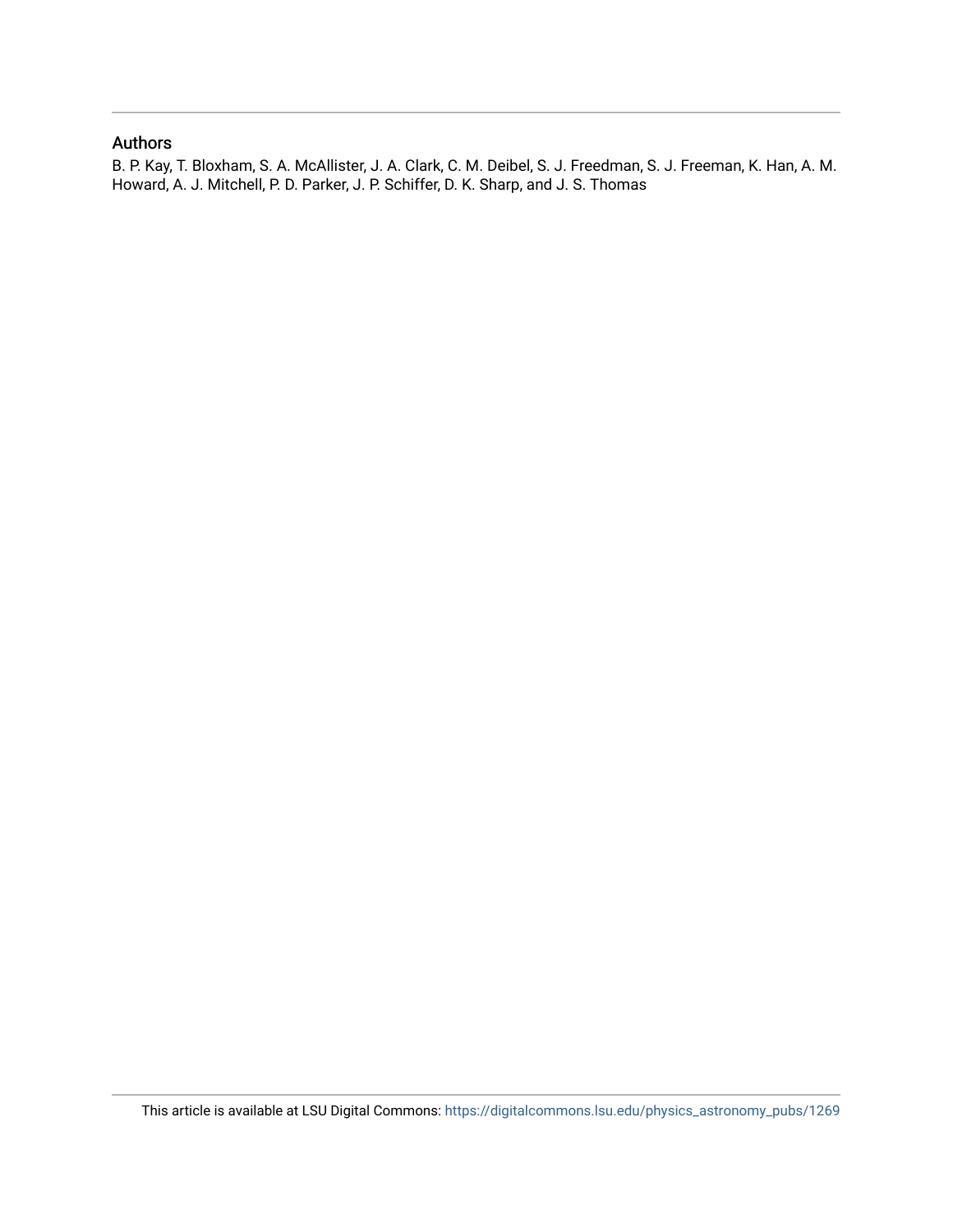### Authors

B. P. Kay, T. Bloxham, S. A. McAllister, J. A. Clark, C. M. Deibel, S. J. Freedman, S. J. Freeman, K. Han, A. M. Howard, A. J. Mitchell, P. D. Parker, J. P. Schiffer, D. K. Sharp, and J. S. Thomas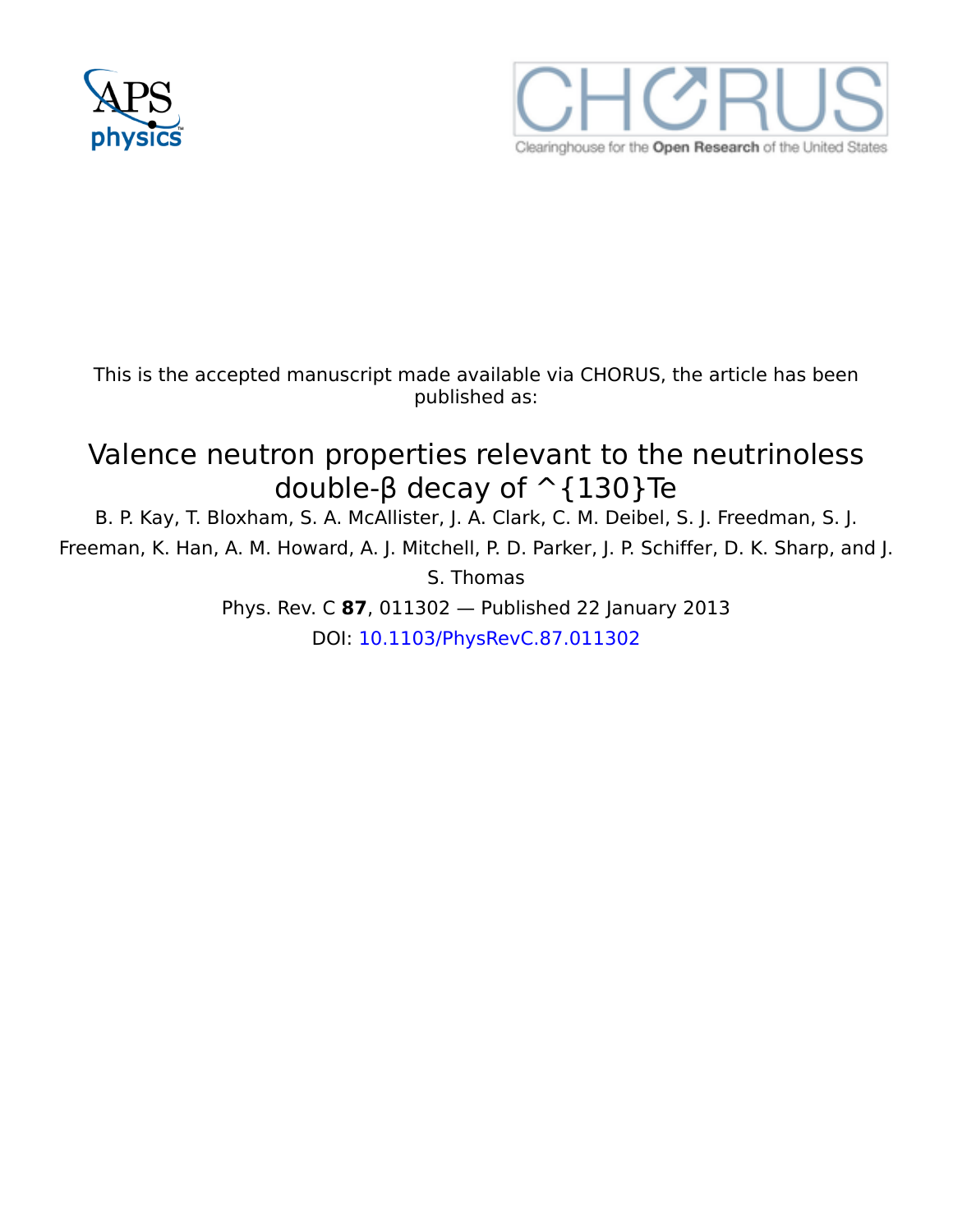



This is the accepted manuscript made available via CHORUS, the article has been published as:

# Valence neutron properties relevant to the neutrinoless double-β decay of ^{130}Te

B. P. Kay, T. Bloxham, S. A. McAllister, J. A. Clark, C. M. Deibel, S. J. Freedman, S. J. Freeman, K. Han, A. M. Howard, A. J. Mitchell, P. D. Parker, J. P. Schiffer, D. K. Sharp, and J. S. Thomas

> Phys. Rev. C **87**, 011302 — Published 22 January 2013 DOI: [10.1103/PhysRevC.87.011302](http://dx.doi.org/10.1103/PhysRevC.87.011302)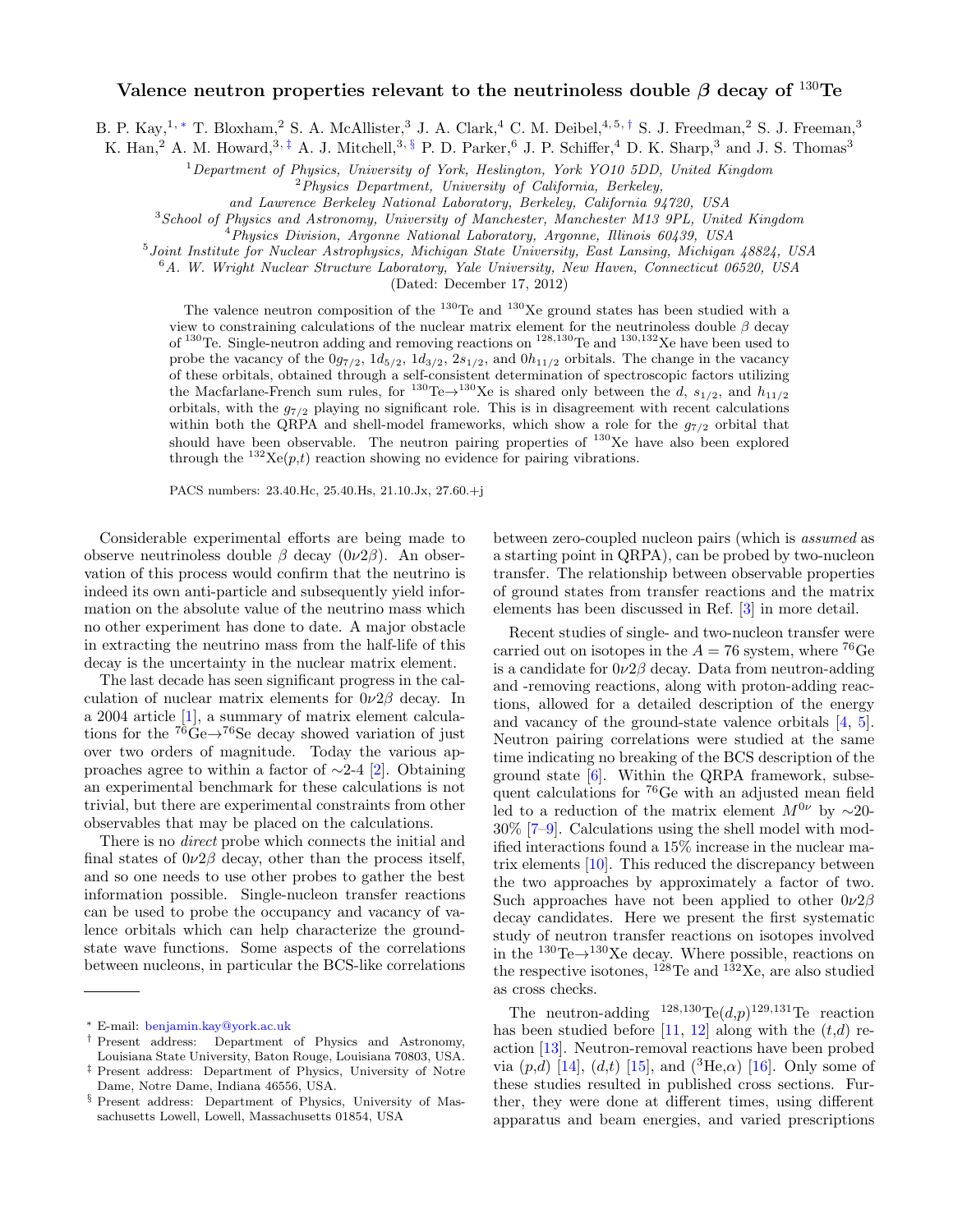#### Valence neutron properties relevant to the neutrinoless double  $\beta$  decay of  $^{130}$ Te

B. P. Kay,<sup>1,\*</sup> T. Bloxham,<sup>2</sup> S. A. McAllister,<sup>3</sup> J. A. Clark,<sup>4</sup> C. M. Deibel,<sup>4,5,[†](#page-3-1)</sup> S. J. Freedman,<sup>2</sup> S. J. Freeman,<sup>3</sup>

K. Han,<sup>2</sup> A. M. Howard,<sup>3,  $\ddagger$ </sup> A. J. Mitchell,<sup>3, [§](#page-3-3)</sup> P. D. Parker,<sup>6</sup> J. P. Schiffer,<sup>4</sup> D. K. Sharp,<sup>3</sup> and J. S. Thomas<sup>3</sup>

<sup>1</sup>Department of Physics, University of York, Heslington, York YO10 5DD, United Kingdom

 ${}^{2}$ Physics Department, University of California, Berkeley,

and Lawrence Berkeley National Laboratory, Berkeley, California 94720, USA

<sup>3</sup> School of Physics and Astronomy, University of Manchester, Manchester M13 9PL, United Kingdom

<sup>4</sup>Physics Division, Argonne National Laboratory, Argonne, Illinois 60439, USA

5 Joint Institute for Nuclear Astrophysics, Michigan State University, East Lansing, Michigan 48824, USA

 $6A$ . W. Wright Nuclear Structure Laboratory, Yale University, New Haven, Connecticut 06520, USA

(Dated: December 17, 2012)

The valence neutron composition of the  $^{130}$ Te and  $^{130}$ Xe ground states has been studied with a view to constraining calculations of the nuclear matrix element for the neutrinoless double  $\beta$  decay of <sup>130</sup>Te. Single-neutron adding and removing reactions on <sup>128</sup>,<sup>130</sup>Te and <sup>130</sup>,<sup>132</sup>Xe have been used to probe the vacancy of the  $0g_{7/2}$ ,  $1d_{5/2}$ ,  $1d_{3/2}$ ,  $2s_{1/2}$ , and  $0h_{11/2}$  orbitals. The change in the vacancy of these orbitals, obtained through a self-consistent determination of spectroscopic factors utilizing the Macfarlane-French sum rules, for  $^{130}$ Te $\rightarrow$ <sup>130</sup>Xe is shared only between the d,  $s_{1/2}$ , and  $h_{11/2}$ orbitals, with the  $g_{7/2}$  playing no significant role. This is in disagreement with recent calculations within both the QRPA and shell-model frameworks, which show a role for the  $g_{7/2}$  orbital that should have been observable. The neutron pairing properties of  $^{130}$ Xe have also been explored through the  $^{132}$ Xe(p,t) reaction showing no evidence for pairing vibrations.

PACS numbers: 23.40.Hc, 25.40.Hs, 21.10.Jx, 27.60.+j

Considerable experimental efforts are being made to observe neutrinoless double  $\beta$  decay  $(0\nu2\beta)$ . An observation of this process would confirm that the neutrino is indeed its own anti-particle and subsequently yield information on the absolute value of the neutrino mass which no other experiment has done to date. A major obstacle in extracting the neutrino mass from the half-life of this decay is the uncertainty in the nuclear matrix element.

The last decade has seen significant progress in the calculation of nuclear matrix elements for  $0\nu2\beta$  decay. In a 2004 article [\[1\]](#page-7-0), a summary of matrix element calculations for the  $^{76}$ Ge $\rightarrow$ <sup>76</sup>Se decay showed variation of just over two orders of magnitude. Today the various approaches agree to within a factor of ∼2-4 [\[2\]](#page-7-1). Obtaining an experimental benchmark for these calculations is not trivial, but there are experimental constraints from other observables that may be placed on the calculations.

There is no direct probe which connects the initial and final states of  $0\nu2\beta$  decay, other than the process itself, and so one needs to use other probes to gather the best information possible. Single-nucleon transfer reactions can be used to probe the occupancy and vacancy of valence orbitals which can help characterize the groundstate wave functions. Some aspects of the correlations between nucleons, in particular the BCS-like correlations

between zero-coupled nucleon pairs (which is assumed as a starting point in QRPA), can be probed by two-nucleon transfer. The relationship between observable properties of ground states from transfer reactions and the matrix elements has been discussed in Ref. [\[3\]](#page-7-2) in more detail.

Recent studies of single- and two-nucleon transfer were carried out on isotopes in the  $A = 76$  system, where <sup>76</sup>Ge is a candidate for  $0\nu2\beta$  decay. Data from neutron-adding and -removing reactions, along with proton-adding reactions, allowed for a detailed description of the energy and vacancy of the ground-state valence orbitals [\[4,](#page-8-0) [5\]](#page-8-1). Neutron pairing correlations were studied at the same time indicating no breaking of the BCS description of the ground state  $[6]$ . Within the QRPA framework, subsequent calculations for <sup>76</sup>Ge with an adjusted mean field led to a reduction of the matrix element  $M^{0\nu}$  by ~20-30% [\[7](#page-8-3)[–9\]](#page-8-4). Calculations using the shell model with modified interactions found a 15% increase in the nuclear matrix elements [\[10\]](#page-8-5). This reduced the discrepancy between the two approaches by approximately a factor of two. Such approaches have not been applied to other  $0\nu2\beta$ decay candidates. Here we present the first systematic study of neutron transfer reactions on isotopes involved in the  $^{130}\text{Te} \rightarrow ^{130}\text{Xe}$  decay. Where possible, reactions on the respective isotones,  $1^{28}$ Te and  $1^{32}$ Xe, are also studied as cross checks.

The neutron-adding  $128,130$ Te $(d,p)$ <sup>129,131</sup>Te reaction has been studied before [\[11,](#page-8-6) [12\]](#page-8-7) along with the  $(t,d)$  reaction [\[13\]](#page-8-8). Neutron-removal reactions have been probed via  $(p,d)$  [\[14\]](#page-8-9),  $(d,t)$  [\[15\]](#page-8-10), and  $({}^{3}\text{He},\alpha)$  [\[16\]](#page-8-11). Only some of these studies resulted in published cross sections. Further, they were done at different times, using different apparatus and beam energies, and varied prescriptions

<span id="page-3-0"></span><sup>∗</sup> E-mail: [benjamin.kay@york.ac.uk](mailto:benjamin.kay@york.ac.uk)

<span id="page-3-1"></span><sup>†</sup> Present address: Department of Physics and Astronomy, Louisiana State University, Baton Rouge, Louisiana 70803, USA.

<span id="page-3-2"></span><sup>‡</sup> Present address: Department of Physics, University of Notre Dame, Notre Dame, Indiana 46556, USA.

<span id="page-3-3"></span><sup>§</sup> Present address: Department of Physics, University of Massachusetts Lowell, Lowell, Massachusetts 01854, USA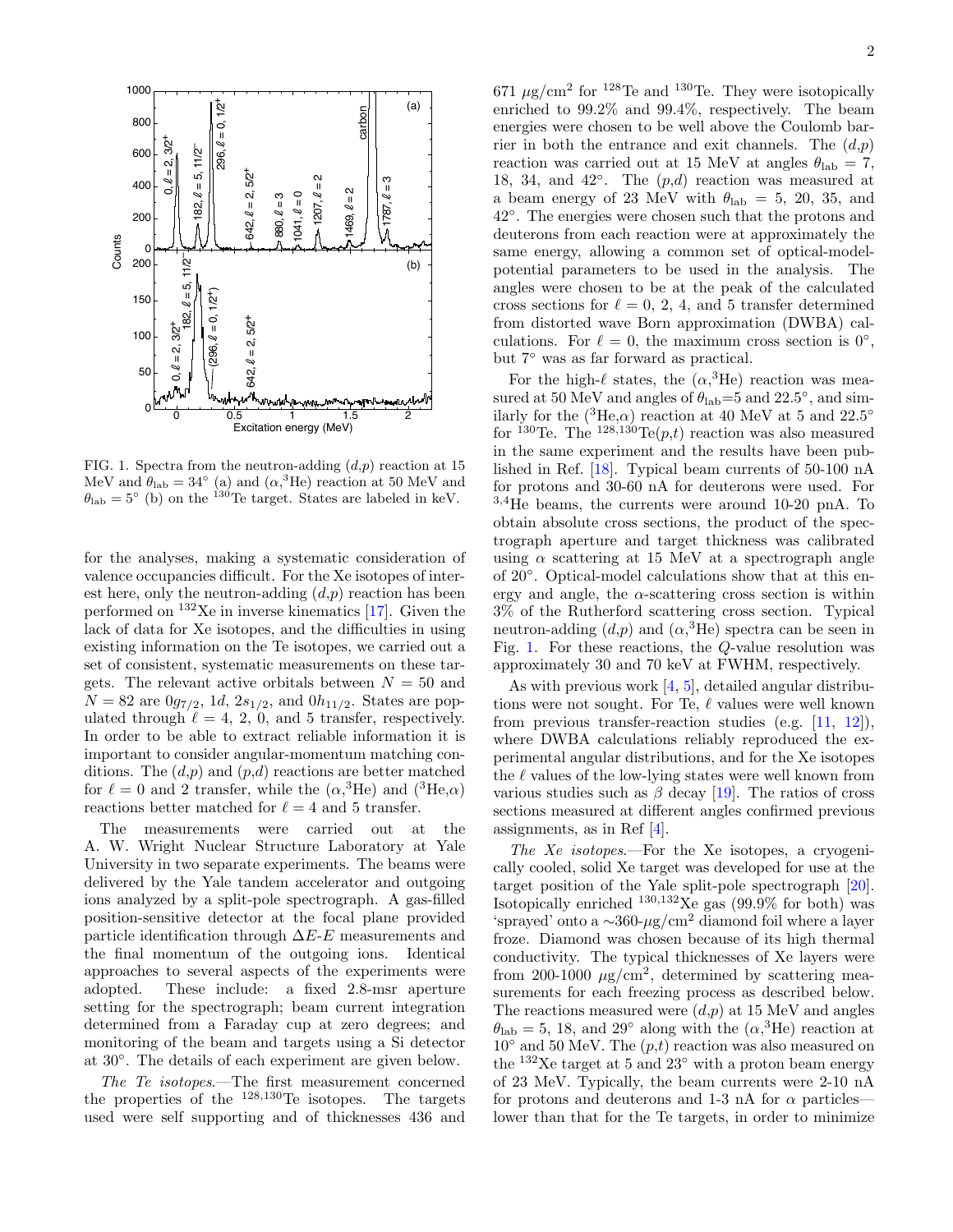

<span id="page-4-0"></span>FIG. 1. Spectra from the neutron-adding  $(d,p)$  reaction at 15 MeV and  $\theta_{\rm lab} = 34^{\circ}$  (a) and  $(\alpha^3)$ He) reaction at 50 MeV and  $\theta_{\rm lab} = 5^{\circ}$  (b) on the <sup>130</sup>Te target. States are labeled in keV.

for the analyses, making a systematic consideration of valence occupancies difficult. For the Xe isotopes of interest here, only the neutron-adding  $(d,p)$  reaction has been performed on  $132$ Xe in inverse kinematics [\[17\]](#page-8-12). Given the lack of data for Xe isotopes, and the difficulties in using existing information on the Te isotopes, we carried out a set of consistent, systematic measurements on these targets. The relevant active orbitals between  $N = 50$  and  $N = 82$  are  $0g_{7/2}$ , 1d,  $2s_{1/2}$ , and  $0h_{11/2}$ . States are populated through  $\ell = 4, 2, 0,$  and 5 transfer, respectively. In order to be able to extract reliable information it is important to consider angular-momentum matching conditions. The  $(d,p)$  and  $(p,d)$  reactions are better matched for  $\ell = 0$  and 2 transfer, while the  $(\alpha,^3$ He) and  $(^3$ He, $\alpha)$ reactions better matched for  $\ell = 4$  and 5 transfer.

The measurements were carried out at the A. W. Wright Nuclear Structure Laboratory at Yale University in two separate experiments. The beams were delivered by the Yale tandem accelerator and outgoing ions analyzed by a split-pole spectrograph. A gas-filled position-sensitive detector at the focal plane provided particle identification through  $\Delta E$ -E measurements and the final momentum of the outgoing ions. Identical approaches to several aspects of the experiments were adopted. These include: a fixed 2.8-msr aperture setting for the spectrograph; beam current integration determined from a Faraday cup at zero degrees; and monitoring of the beam and targets using a Si detector at 30◦ . The details of each experiment are given below.

The Te isotopes.—The first measurement concerned the properties of the  $^{128,130}$ Te isotopes. The targets used were self supporting and of thicknesses 436 and

18, 34, and 42°. The  $(p,d)$  reaction was measured at a beam energy of 23 MeV with  $\theta_{\rm lab} = 5, 20, 35, \text{ and}$ enriched to 99.2% and 99.4%, respectively. The beam  $\frac{1}{2}$ energies were chosen to be well above the Coulomb bar- $671 \mu g/cm^2$  for <sup>128</sup>Te and <sup>130</sup>Te. They were isotopically enriched to 99.2% and 99.4%, respectively. The beam deuterons from each reaction were at approximately the<br>same energy, allowing a common set of optical-modeldeuterons from each reaction were at approximately the<br>same operay, allowing a common set of optical model same energy, anowing a common set of optical-model-<br>potential parameters to be used in the analysis. The angles were chosen to be at the peak of the calculated n<br>a<br>w rier in both the entrance and exit channels. The  $(d,p)$ reaction was carried out at 15 MeV at angles  $\theta_{lab} = 7$ , 42◦ . The energies were chosen such that the protons and cross sections for  $\ell = 0, 2, 4$ , and 5 transfer determined from distorted wave Born approximation (DWBA) calculations. For  $\ell = 0$ , the maximum cross section is 0°, but 7◦ was as far forward as practical.

For the high- $\ell$  states, the  $(\alpha,^3$ He) reaction was measured at 50 MeV and angles of  $\theta_{\rm lab} = 5$  and 22.5°, and similarly for the  $(^{3}He,\alpha)$  reaction at 40 MeV at 5 and 22.5<sup>°</sup> for <sup>130</sup>Te. The <sup>128,130</sup>Te(*p*,*t*) reaction was also measured in the same experiment and the results have been published in Ref. [\[18\]](#page-8-13). Typical beam currents of 50-100 nA for protons and 30-60 nA for deuterons were used. For  $3.4$ He beams, the currents were around 10-20 pnA. To obtain absolute cross sections, the product of the spectrograph aperture and target thickness was calibrated using  $\alpha$  scattering at 15 MeV at a spectrograph angle of 20◦ . Optical-model calculations show that at this energy and angle, the  $\alpha$ -scattering cross section is within 3% of the Rutherford scattering cross section. Typical neutron-adding  $(d,p)$  and  $(\alpha,^3\text{He})$  spectra can be seen in Fig. [1.](#page-4-0) For these reactions, the Q-value resolution was approximately 30 and 70 keV at FWHM, respectively.

As with previous work [\[4,](#page-8-0) [5\]](#page-8-1), detailed angular distributions were not sought. For Te,  $\ell$  values were well known from previous transfer-reaction studies (e.g. [\[11,](#page-8-6) [12\]](#page-8-7)), where DWBA calculations reliably reproduced the experimental angular distributions, and for the Xe isotopes the  $\ell$  values of the low-lying states were well known from various studies such as  $\beta$  decay [\[19\]](#page-8-14). The ratios of cross sections measured at different angles confirmed previous assignments, as in Ref [\[4\]](#page-8-0).

The Xe isotopes.—For the Xe isotopes, a cryogenically cooled, solid Xe target was developed for use at the target position of the Yale split-pole spectrograph [\[20\]](#page-8-15). Isotopically enriched  $^{130,132}$ Xe gas (99.9% for both) was 'sprayed' onto a  $\sim$ 360-µg/cm<sup>2</sup> diamond foil where a layer froze. Diamond was chosen because of its high thermal conductivity. The typical thicknesses of Xe layers were from 200-1000  $\mu$ g/cm<sup>2</sup>, determined by scattering measurements for each freezing process as described below. The reactions measured were  $(d,p)$  at 15 MeV and angles  $\theta_{\rm lab} = 5, 18, \text{ and } 29^{\circ}$  along with the  $(\alpha,^3\text{He})$  reaction at  $10<sup>°</sup>$  and 50 MeV. The  $(p,t)$  reaction was also measured on the  $132$ Xe target at 5 and  $23°$  with a proton beam energy of 23 MeV. Typically, the beam currents were 2-10 nA for protons and deuterons and 1-3 nA for  $\alpha$  particles lower than that for the Te targets, in order to minimize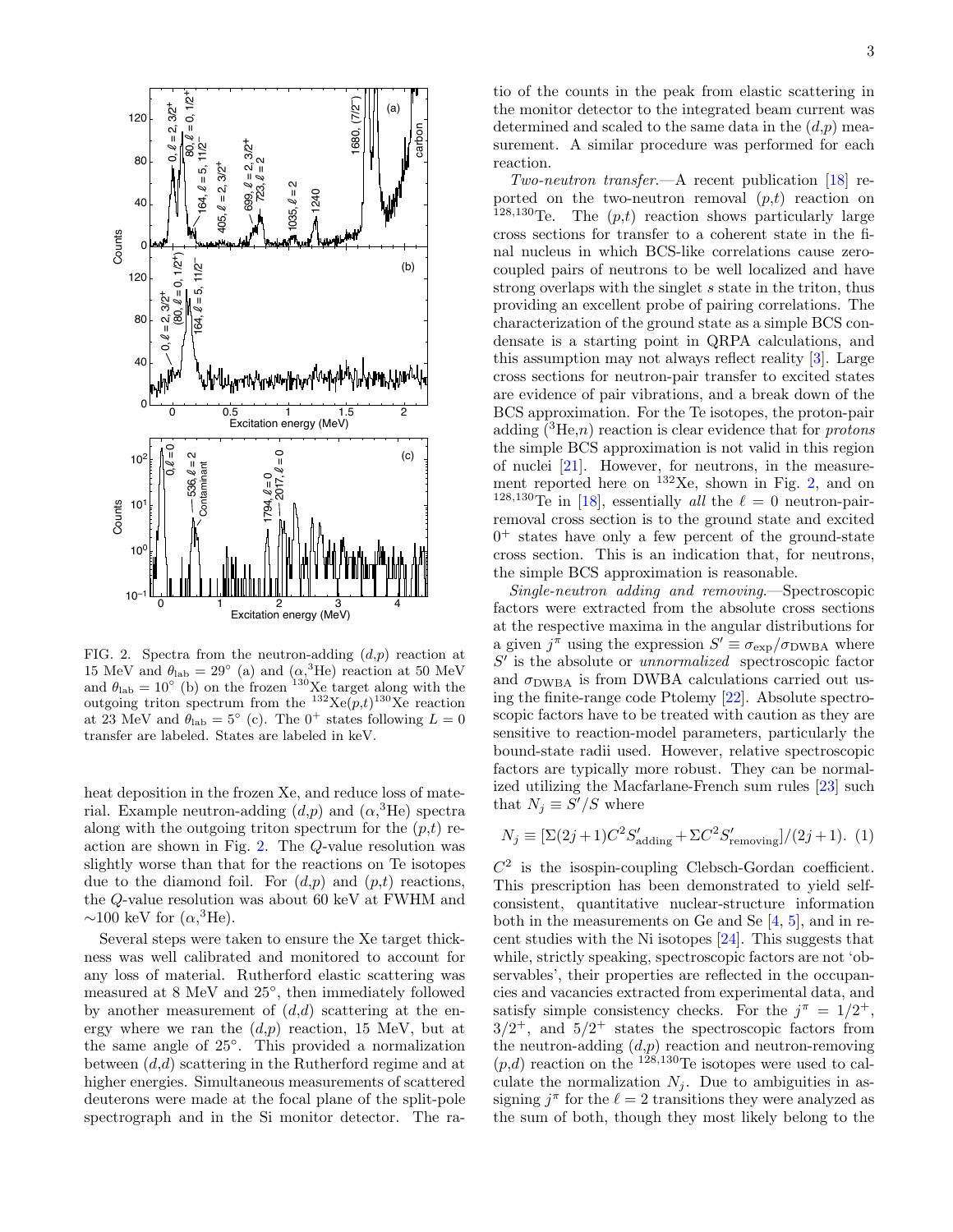

<span id="page-5-0"></span>FIG. 2. Spectra from the neutron-adding  $(d,p)$  reaction at 15 MeV and  $\theta_{\rm lab} = 29^{\circ}$  (a) and  $(\alpha,^3\text{He})$  reaction at 50 MeV and  $\theta_{\rm lab} = 10^{\circ}$  (b) on the frozen <sup>130</sup>Xe target along with the outgoing triton spectrum from the  $^{132}$ Xe $(p,t)$ <sup>130</sup>Xe reaction at 23 MeV and  $\theta_{\rm lab} = 5^{\circ}$  (c). The 0<sup>+</sup> states following  $L = 0$ transfer are labeled. States are labeled in keV.

heat deposition in the frozen Xe, and reduce loss of material. Example neutron-adding  $(d,p)$  and  $(\alpha,^3$ He) spectra along with the outgoing triton spectrum for the  $(p,t)$  reaction are shown in Fig. [2.](#page-5-0) The Q-value resolution was slightly worse than that for the reactions on Te isotopes due to the diamond foil. For  $(d,p)$  and  $(p,t)$  reactions, the Q-value resolution was about 60 keV at FWHM and ~100 keV for  $(\alpha,^3\text{He})$ .

Several steps were taken to ensure the Xe target thickness was well calibrated and monitored to account for any loss of material. Rutherford elastic scattering was measured at 8 MeV and 25◦ , then immediately followed by another measurement of  $(d,d)$  scattering at the energy where we ran the  $(d,p)$  reaction, 15 MeV, but at the same angle of 25◦ . This provided a normalization between  $(d,d)$  scattering in the Rutherford regime and at higher energies. Simultaneous measurements of scattered deuterons were made at the focal plane of the split-pole spectrograph and in the Si monitor detector. The ra-

tio of the counts in the peak from elastic scattering in the monitor detector to the integrated beam current was determined and scaled to the same data in the  $(d,p)$  measurement. A similar procedure was performed for each reaction.

Two-neutron transfer.—A recent publication [\[18\]](#page-8-13) reported on the two-neutron removal  $(p,t)$  reaction on  $128,130$  Te. The  $(p,t)$  reaction shows particularly large cross sections for transfer to a coherent state in the final nucleus in which BCS-like correlations cause zerocoupled pairs of neutrons to be well localized and have strong overlaps with the singlet s state in the triton, thus providing an excellent probe of pairing correlations. The characterization of the ground state as a simple BCS condensate is a starting point in QRPA calculations, and this assumption may not always reflect reality [\[3\]](#page-7-2). Large cross sections for neutron-pair transfer to excited states are evidence of pair vibrations, and a break down of the BCS approximation. For the Te isotopes, the proton-pair adding  $({}^{3}He,n)$  reaction is clear evidence that for *protons* the simple BCS approximation is not valid in this region of nuclei [\[21\]](#page-8-16). However, for neutrons, in the measurement reported here on  $^{132}$ Xe, shown in Fig. [2,](#page-5-0) and on <sup>128,130</sup>Te in [\[18\]](#page-8-13), essentially *all* the  $\ell = 0$  neutron-pairremoval cross section is to the ground state and excited 0 <sup>+</sup> states have only a few percent of the ground-state cross section. This is an indication that, for neutrons, the simple BCS approximation is reasonable.

Single-neutron adding and removing.—Spectroscopic factors were extracted from the absolute cross sections at the respective maxima in the angular distributions for a given  $j^{\pi}$  using the expression  $S' \equiv \sigma_{\exp}/\sigma_{\text{DWBA}}$  where  $S'$  is the absolute or *unnormalized* spectroscopic factor and  $\sigma_{\text{DWBA}}$  is from DWBA calculations carried out using the finite-range code Ptolemy [\[22\]](#page-8-17). Absolute spectroscopic factors have to be treated with caution as they are sensitive to reaction-model parameters, particularly the bound-state radii used. However, relative spectroscopic factors are typically more robust. They can be normalized utilizing the Macfarlane-French sum rules [\[23\]](#page-8-18) such that  $N_j \equiv S'/S$  where

$$
N_j \equiv \left[\Sigma(2j+1)C^2 S'_{\text{adding}} + \Sigma C^2 S'_{\text{removing}}\right]/(2j+1). (1)
$$

 $C<sup>2</sup>$  is the isospin-coupling Clebsch-Gordan coefficient. This prescription has been demonstrated to yield selfconsistent, quantitative nuclear-structure information both in the measurements on Ge and Se  $[4, 5]$  $[4, 5]$  $[4, 5]$ , and in recent studies with the Ni isotopes [\[24\]](#page-8-19). This suggests that while, strictly speaking, spectroscopic factors are not 'observables', their properties are reflected in the occupancies and vacancies extracted from experimental data, and satisfy simple consistency checks. For the  $j^{\pi} = 1/2^{+}$ ,  $3/2^+$ , and  $5/2^+$  states the spectroscopic factors from the neutron-adding  $(d,p)$  reaction and neutron-removing  $(p,d)$  reaction on the <sup>128,130</sup>Te isotopes were used to calculate the normalization  $N_i$ . Due to ambiguities in assigning  $j^{\pi}$  for the  $\ell = 2$  transitions they were analyzed as the sum of both, though they most likely belong to the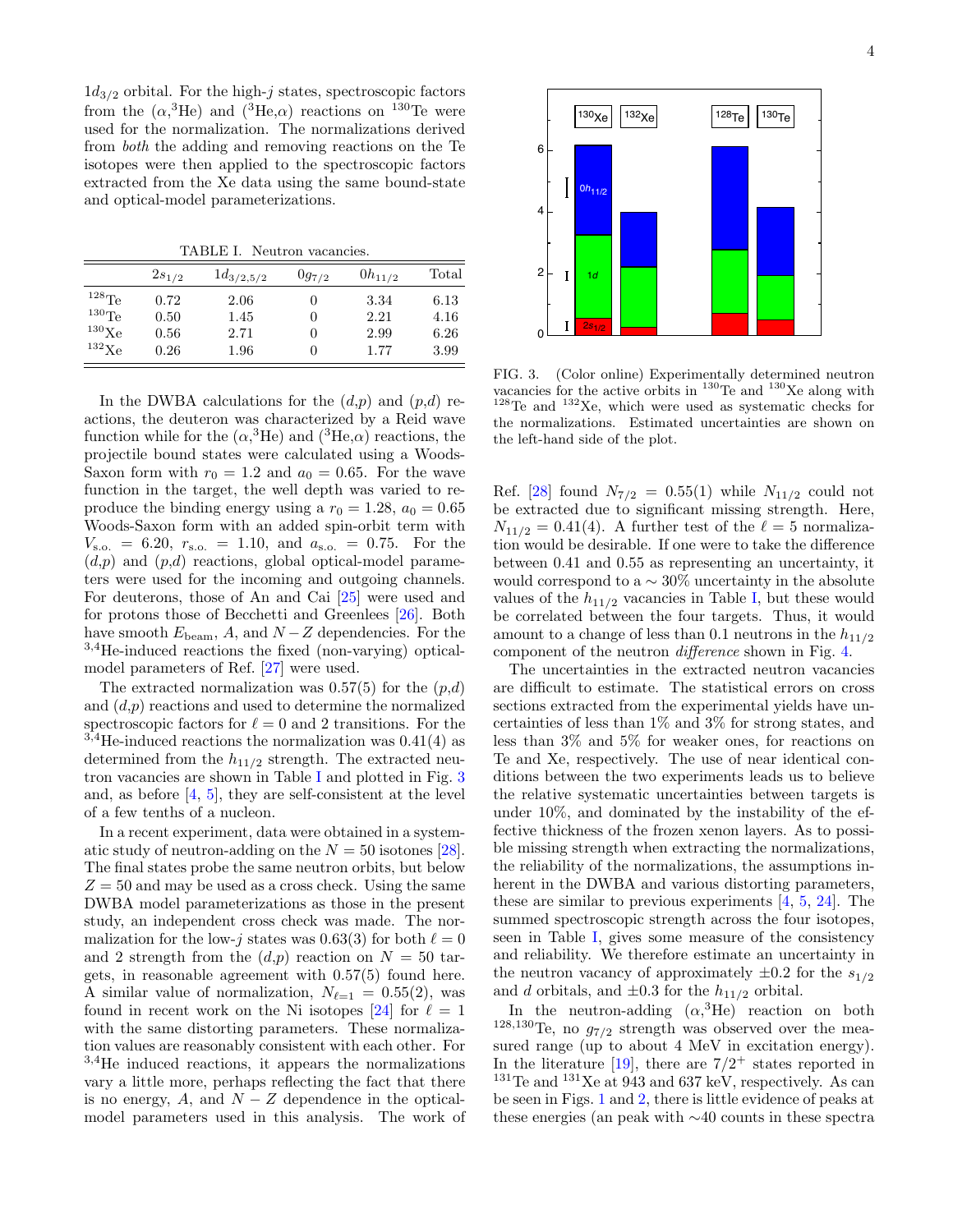$1d_{3/2}$  orbital. For the high-j states, spectroscopic factors from the  $(\alpha,^3\text{He})$  and  $(^3\text{He},\alpha)$  reactions on <sup>130</sup>Te were used for the normalization. The normalizations derived from both the adding and removing reactions on the Te isotopes were then applied to the spectroscopic factors extracted from the Xe data using the same bound-state and optical-model parameterizations.

<span id="page-6-0"></span>TABLE I. Neutron vacancies.

|                   | $2s_{1/2}$ | $1d_{3/2,5/2}$ | $0g_{7/2}$ | $0h_{11/2}$ | Total |
|-------------------|------------|----------------|------------|-------------|-------|
| $128\text{Te}$    | 0.72       | 2.06           |            | 3.34        | 6.13  |
| $^{130}$ Te       | 0.50       | 1.45           | 0          | 2.21        | 4.16  |
| $^{130}\text{Xe}$ | 0.56       | 2.71           |            | 2.99        | 6.26  |
| $^{132}$ Xe       | 0.26       | 1.96           | 0          | 1.77        | 3.99  |

In the DWBA calculations for the  $(d,p)$  and  $(p,d)$  reactions, the deuteron was characterized by a Reid wave function while for the  $(\alpha^3 \text{He})$  and  $(^3\text{He}, \alpha)$  reactions, the projectile bound states were calculated using a Woods-Saxon form with  $r_0 = 1.2$  and  $a_0 = 0.65$ . For the wave function in the target, the well depth was varied to reproduce the binding energy using a  $r_0 = 1.28$ ,  $a_0 = 0.65$ Woods-Saxon form with an added spin-orbit term with  $V_{\rm s.o.}$  = 6.20,  $r_{\rm s.o.}$  = 1.10, and  $a_{\rm s.o.}$  = 0.75. For the  $(d,p)$  and  $(p,d)$  reactions, global optical-model parameters were used for the incoming and outgoing channels. For deuterons, those of An and Cai [\[25\]](#page-8-20) were used and for protons those of Becchetti and Greenlees [\[26\]](#page-8-21). Both have smooth  $E_{\text{beam}}$ , A, and  $N-Z$  dependencies. For the <sup>3</sup>,4He-induced reactions the fixed (non-varying) opticalmodel parameters of Ref. [\[27\]](#page-8-22) were used.

The extracted normalization was  $0.57(5)$  for the  $(p,d)$ and  $(d,p)$  reactions and used to determine the normalized spectroscopic factors for  $\ell = 0$  and 2 transitions. For the  $3.4$ He-induced reactions the normalization was  $0.41(4)$  as determined from the  $h_{11/2}$  strength. The extracted neutron vacancies are shown in Table [I](#page-6-0) and plotted in Fig. [3](#page-6-1) and, as before [\[4,](#page-8-0) [5\]](#page-8-1), they are self-consistent at the level of a few tenths of a nucleon.

In a recent experiment, data were obtained in a systematic study of neutron-adding on the  $N = 50$  isotones [\[28\]](#page-8-23). The final states probe the same neutron orbits, but below  $Z = 50$  and may be used as a cross check. Using the same DWBA model parameterizations as those in the present study, an independent cross check was made. The normalization for the low-j states was 0.63(3) for both  $\ell = 0$ and 2 strength from the  $(d,p)$  reaction on  $N = 50$  targets, in reasonable agreement with 0.57(5) found here. A similar value of normalization,  $N_{\ell=1} = 0.55(2)$ , was found in recent work on the Ni isotopes [\[24\]](#page-8-19) for  $\ell = 1$ with the same distorting parameters. These normalization values are reasonably consistent with each other. For <sup>3</sup>,<sup>4</sup>He induced reactions, it appears the normalizations vary a little more, perhaps reflecting the fact that there is no energy, A, and  $N - Z$  dependence in the opticalmodel parameters used in this analysis. The work of



<span id="page-6-1"></span> $32Xe$ , which were used as systematic checks for 3 the normalizations. Estimated uncertainties are shown on  $\frac{1}{\sqrt{2}}$  $\frac{1}{\sqrt{2}}$ FIG. 3. (Color online) Experimentally determined neutron vacancies for the active orbits in  $^{130}$ Te and  $^{130}$ Xe along with  $128$ Te and  $132$ Xe, which were used as systematic checks for the left-hand side of the plot.

amount to a change of less than 0.1 neutrons in the  $h_{11/2}$ would correspond to a  $\sim 30\%$  uncertainty in the absolute  $\frac{1}{11/2}$  of  $\frac{1}{2}$  (1) is taken the second the  $\frac{1}{2}$  of  $\frac{1}{2}$  of  $\frac{1}{2}$  and  $\frac{1}{2}$  of  $\frac{1}{2}$  and  $\frac{1}{2}$  and  $\frac{1}{2}$  and  $\frac{1}{2}$  and  $\frac{1}{2}$  and  $\frac{1}{2}$  and  $\frac{1}{2}$  and  $\frac{1}{2}$  and  $\$ Ref. [\[28\]](#page-8-23) found  $N_{7/2} = 0.55(1)$  while  $N_{11/2}$  could not<br>be extracted due to significant missing strength. Here,<br> $N = 0.41(4)$ . A further test of the  $\ell = 5$  permulies be extracted due to significant missing strength. Here,<br> $N = 0.41(4)$ , A further test of the  $\ell$  Examples  $\mathfrak{g}$ be correlated between the four targets. Thus, it would  $N_{11/2} = 0.41(4)$ . A further test of the  $\ell = 5$  normalizabetween 0.41 and 0.55 as representing an uncertainty, it values of the  $h_{11/2}$  vacancies in Table [I,](#page-6-0) but these would component of the neutron difference shown in Fig. [4.](#page-7-3)

The uncertainties in the extracted neutron vacancies and reliability. We therefore estimate an uncertainty in herent in the DWBA and various distorting parameters, 2 4 the relative systematic uncertainties between targets is sections extracted from the experimental yields have unless than  $3\%$  and  $5\%$  for weaker ones, for reactions on If and Xe, respectively. The use of hear identical conditions between the two experiments leads us to believe seen in Table [I,](#page-6-0) gives some measure of the consistency ble missing strength when extracting the normalizations,  $T_{\text{max}}$  from  $T_{\text{max}}$   $T_{\text{max}}$   $T_{\text{max}}$   $T_{\text{max}}$   $T_{\text{max}}$   $T_{\text{max}}$   $T_{\text{max}}$   $T_{\text{max}}$   $T_{\text{max}}$ and d orbitals, and  $\pm 0.3$  for the  $h_{11/2}$  orbital. summed spectroscopic strength across the four isotopes, are difficult to estimate. The statistical errors on cross certainties of less than 1% and 3% for strong states, and Te and Xe, respectively. The use of near identical conunder 10%, and dominated by the instability of the effective thickness of the frozen xenon layers. As to possithe reliability of the normalizations, the assumptions inthese are similar to previous experiments [\[4,](#page-8-0) [5,](#page-8-1) [24\]](#page-8-19). The the neutron vacancy of approximately  $\pm 0.2$  for the  $s_{1/2}$ 

In the neutron-adding  $(\alpha^3)$ He) reaction on both <sup>128,130</sup>Te, no  $g_{7/2}$  strength was observed over the measured range (up to about 4 MeV in excitation energy). In the literature  $[19]$ , there are  $7/2^+$  states reported in  $131$ Te and  $131$ Xe at 943 and 637 keV, respectively. As can be seen in Figs. [1](#page-4-0) and [2,](#page-5-0) there is little evidence of peaks at these energies (an peak with ∼40 counts in these spectra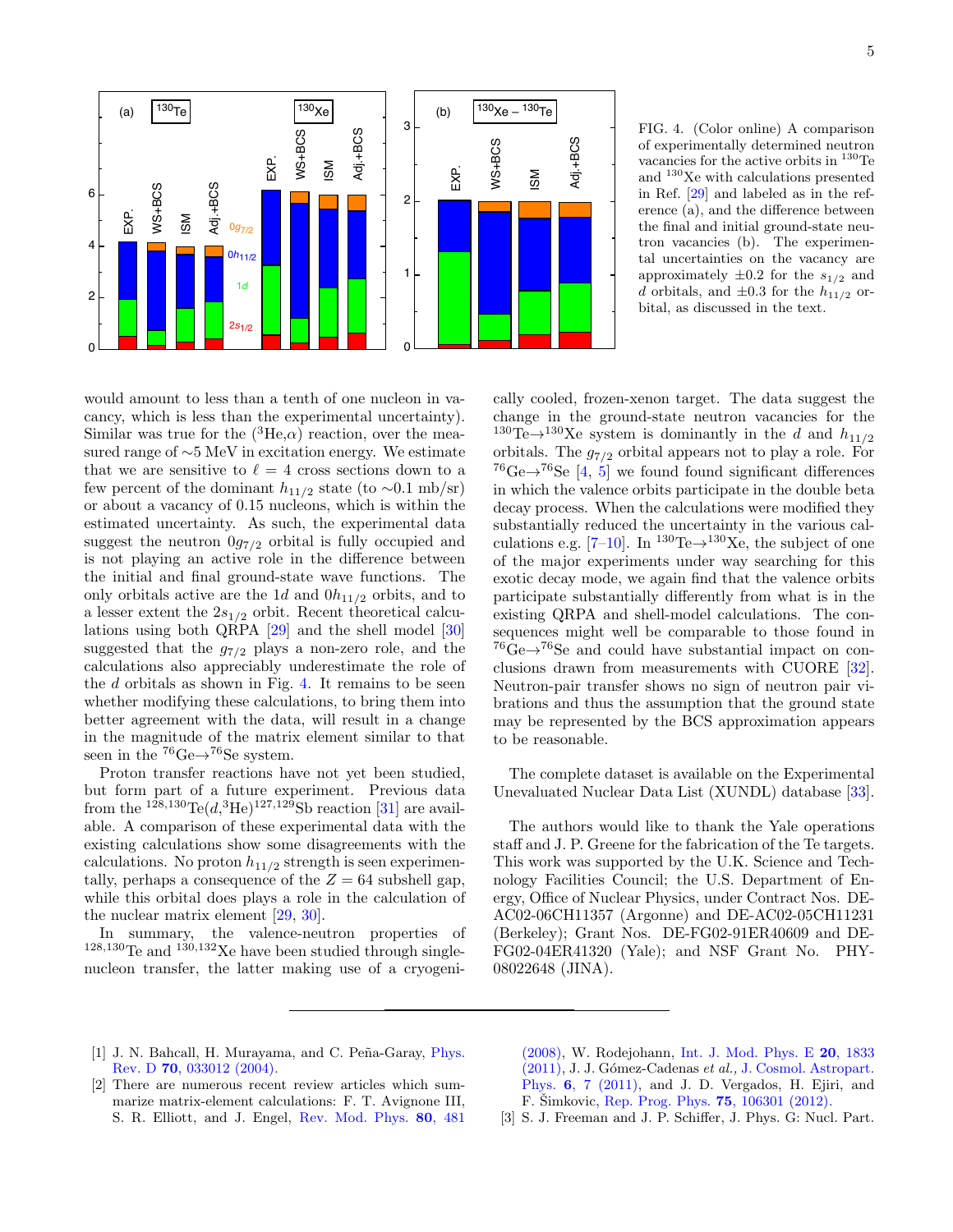

<span id="page-7-3"></span>approximately  $\pm 0.2$  for the  $s_{1/2}$  and  $\lim$  ref.  $[23]$  and tabeled as  $\lim$  the reference (a), and the difference between 3 FIG. 4. (Color online) A comparison 1<br>r∈<br>rc vacancies for the active orbits in <sup>130</sup>Te<br>and <sup>130</sup>Xe with calculations presented tal uncertainties on the vacancy are bital, as discussed in the text. in Ref.  $[29]$  and labeled as in the refof experimentally determined neutron vacancies for the active orbits in <sup>130</sup>Te the final and initial ground-state neutron vacancies (b). The experimend orbitals, and  $\pm 0.3$  for the  $h_{11/2}$  or-

whether modifying these calculations, to bring them into a lesser extent the  $2s_{1/2}$  orbit. Recent theoretical calcuestimated uncertainty. As such, the experimental data cancy, which is less than the experimental uncertainty). that we are sensitive to  $\ell = 4$  cross sections down to a few percent of the dominant  $h_{11/2}$  state (to ∼0.1 mb/sr)<br>or about a vacancy of 0.15 nucleons, which is within the EUM percent of the dominant  $n_{11/2}$  state (to  $\sim$ 0.1 mb/sr)<br>or about a vacancy of 0.15 nucleons, which is within the calculations also appreciably underestimate the role of the  $d$  orbitals as shown in Fig. [4.](#page-7-3) It remains to be seen is not playing an active role in the difference between better agreement with the data, will result in a change may be Experimental data, with the data, with result in a change and physical respection the magnitude of the matrix element similar to that to be reasonable suggested that the  $g_{7/2}$  plays a non-zero role, and the would amount to less than a tenth of one nucleon in va-Similar was true for the  $({}^{3}He,\alpha)$  reaction, over the measured range of ∼5 MeV in excitation energy. We estimate suggest the neutron  $0g_{7/2}$  orbital is fully occupied and the initial and final ground-state wave functions. The only orbitals active are the 1d and  $0h_{11/2}$  orbits, and to lations using both QRPA [\[29\]](#page-8-24) and the shell model [\[30\]](#page-8-25) seen in the  $^{76}Ge \rightarrow ^{76}Se$  system.

Proton transfer reactions have not yet been studied, but form part of a future experiment. Previous data from the <sup>128,130</sup>Te $(d, {}^{3}\text{He})$ <sup>127,129</sup>Sb reaction [\[31\]](#page-8-26) are available. A comparison of these experimental data with the existing calculations show some disagreements with the calculations. No proton  $h_{11/2}$  strength is seen experimentally, perhaps a consequence of the  $Z = 64$  subshell gap, while this orbital does plays a role in the calculation of the nuclear matrix element [\[29,](#page-8-24) [30\]](#page-8-25).

In summary, the valence-neutron properties of  $128,130$  Te and  $130,132$  Xe have been studied through singlenucleon transfer, the latter making use of a cryogeni-

 $^{76}$ Ge $\rightarrow$ <sup>76</sup>Se [\[4,](#page-8-0) [5\]](#page-8-1) we found found significant differences in which the valence orbits participate in the double beta<br>decomposed When the calculations were used if at the change in the ground-state neutron vacancies for the Neutron-pair transfer shows no sign of neutron pair visequences might well be comparable to those found in exotic decay mode, we again find that the valence orbits substantially reduced the uncertainty in the various calof the major experiments under way searching for this participate substantially differently from what is in the<br>existing ORPA and shell-model calculations. The con- $^{76}$ Ge $\rightarrow$ <sup>76</sup>Se and could have substantial impact on con-clusions drawn from measurements with CUORE [\[32\]](#page-8-27). existing QRPA and shell-model calculations. The con- $1388$ Protons<br>Number of protons<br>Number of protons<br>Number of protons of protons of protons and cally cooled, frozen-xenon target. The data suggest the <sup>130</sup>Te $\rightarrow$ <sup>130</sup>Xe system is dominantly in the d and  $h_{11/2}$ orbitals. The  $g_{7/2}$  orbital appears not to play a role. For decay process. When the calculations were modified they culations e.g.  $[7-10]$  $[7-10]$ . In <sup>130</sup>Te $\rightarrow$ <sup>130</sup>Xe, the subject of one brations and thus the assumption that the ground state may be represented by the BCS approximation appears to be reasonable.

The complete dataset is available on the Experimental Unevaluated Nuclear Data List (XUNDL) database [\[33\]](#page-8-28).

The authors would like to thank the Yale operations staff and J. P. Greene for the fabrication of the Te targets. This work was supported by the U.K. Science and Technology Facilities Council; the U.S. Department of Energy, Office of Nuclear Physics, under Contract Nos. DE-AC02-06CH11357 (Argonne) and DE-AC02-05CH11231 (Berkeley); Grant Nos. DE-FG02-91ER40609 and DE-FG02-04ER41320 (Yale); and NSF Grant No. PHY-08022648 (JINA).

- <span id="page-7-0"></span>[1] J. N. Bahcall, H. Murayama, and C. Peña-Garay, [Phys.](http://dx.doi.org/10.1103/PhysRevD.70.033012) Rev. D 70[, 033012 \(2004\).](http://dx.doi.org/10.1103/PhysRevD.70.033012)
- <span id="page-7-1"></span>[2] There are numerous recent review articles which summarize matrix-element calculations: F. T. Avignone III, S. R. Elliott, and J. Engel, [Rev. Mod. Phys.](http://dx.doi.org/10.1103/RevModPhys.80.481) 80, 481

[\(2008\),](http://dx.doi.org/10.1103/RevModPhys.80.481) W. Rodejohann, [Int. J. Mod. Phys. E](http://dx.doi.org/10.1142/S0218301311020186) 20, 1833 [\(2011\),](http://dx.doi.org/10.1142/S0218301311020186) J. J. G´omez-Cadenas et al., [J. Cosmol. Astropart.](http://dx.doi.org/10.1088/1475-7516/2011/06/007) Phys. 6[, 7 \(2011\),](http://dx.doi.org/10.1088/1475-7516/2011/06/007) and J. D. Vergados, H. Ejiri, and F. Šimkovic, [Rep. Prog. Phys.](http://dx.doi.org/10.1088/0034-4885/75/10/106301) **75**, 106301 (2012).

<span id="page-7-2"></span>[3] S. J. Freeman and J. P. Schiffer, J. Phys. G: Nucl. Part.